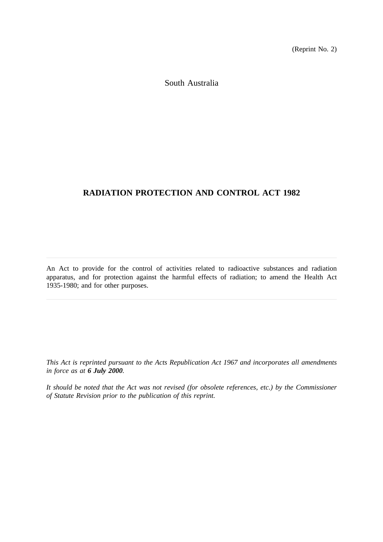(Reprint No. 2)

South Australia

# **RADIATION PROTECTION AND CONTROL ACT 1982**

An Act to provide for the control of activities related to radioactive substances and radiation apparatus, and for protection against the harmful effects of radiation; to amend the Health Act 1935-1980; and for other purposes.

*This Act is reprinted pursuant to the Acts Republication Act 1967 and incorporates all amendments in force as at 6 July 2000.*

*It should be noted that the Act was not revised (for obsolete references, etc.) by the Commissioner of Statute Revision prior to the publication of this reprint.*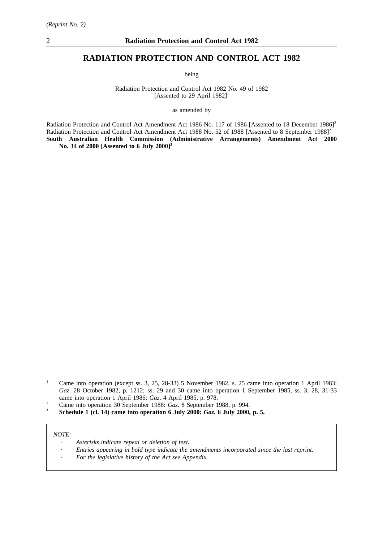# **RADIATION PROTECTION AND CONTROL ACT 1982**

being

Radiation Protection and Control Act 1982 No. 49 of 1982 [Assented to 29 April  $1982$ ]<sup>1</sup>

as amended by

Radiation Protection and Control Act Amendment Act 1986 No. 117 of 1986 [Assented to 18 December 1986]<sup>2</sup> Radiation Protection and Control Act Amendment Act 1988 No. 52 of 1988 [Assented to 8 September 1988]<sup>2</sup> **South Australian Health Commission (Administrative Arrangements) Amendment Act 2000 No. 34 of 2000 [Assented to 6 July 2000]3**

- <sup>2</sup> Came into operation 30 September 1988:  $Gaz$ . 8 September 1988, p. 994.<br><sup>3</sup> Schedule 1 (cl. 14) came into operation 6 July 2000:  $Gaz$ , 6 July 2000.
- **<sup>3</sup> Schedule 1 (cl. 14) came into operation 6 July 2000:** *Gaz***. 6 July 2000, p. 5.**

#### *NOTE:*

- *Asterisks indicate repeal or deletion of text.*
- *Entries appearing in bold type indicate the amendments incorporated since the last reprint.*
- *For the legislative history of the Act see Appendix.*

<sup>&</sup>lt;sup>1</sup> Came into operation (except ss. 3, 25, 28-33) 5 November 1982, s. 25 came into operation 1 April 1983: *Gaz*. 28 October 1982, p. 1212; ss. 29 and 30 came into operation 1 September 1985, ss. 3, 28, 31-33 came into operation 1 April 1986: *Gaz*. 4 April 1985, p. 978.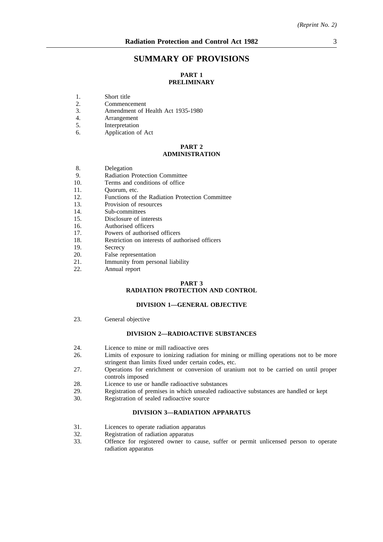# **SUMMARY OF PROVISIONS**

# **PART 1 PRELIMINARY**

- 1. Short title<br>2. Commence
- 2. Commencement<br>3. Amendment of I
- 3. Amendment of Health Act 1935-1980<br>4. Arrangement
- 4. Arrangement<br>5. Interpretation
- **Interpretation**
- 6. Application of Act

#### **PART 2 ADMINISTRATION**

- 8. Delegation<br>9. Radiation I
- 9. Radiation Protection Committee<br>10. Terms and conditions of office
- Terms and conditions of office
- 11. Quorum, etc.
- 12. Functions of the Radiation Protection Committee
- 13. Provision of resources
- 14. Sub-committees
- 15. Disclosure of interests
- 16. Authorised officers
- 17. Powers of authorised officers
- 18. Restriction on interests of authorised officers
- 19. Secrecy
- 20. False representation
- 21. Immunity from personal liability
- 22. Annual report

#### **PART 3 RADIATION PROTECTION AND CONTROL**

#### **DIVISION 1—GENERAL OBJECTIVE**

23. General objective

#### **DIVISION 2—RADIOACTIVE SUBSTANCES**

- 24. Licence to mine or mill radioactive ores<br>26. Limits of exposure to ionizing radiation
- Limits of exposure to ionizing radiation for mining or milling operations not to be more stringent than limits fixed under certain codes, etc.
- 27. Operations for enrichment or conversion of uranium not to be carried on until proper controls imposed
- 28. Licence to use or handle radioactive substances
- 29. Registration of premises in which unsealed radioactive substances are handled or kept 30.
- Registration of sealed radioactive source

#### **DIVISION 3—RADIATION APPARATUS**

- 31. Licences to operate radiation apparatus<br>32. Registration of radiation apparatus
- Registration of radiation apparatus
- 33. Offence for registered owner to cause, suffer or permit unlicensed person to operate radiation apparatus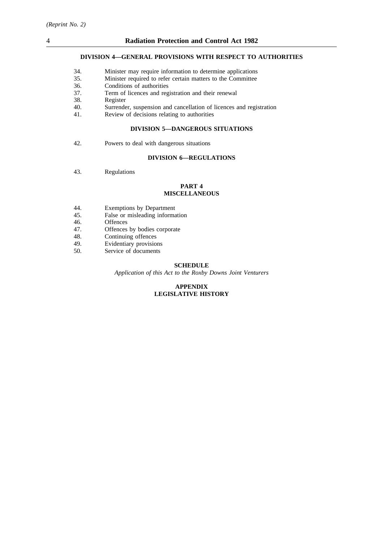## **DIVISION 4—GENERAL PROVISIONS WITH RESPECT TO AUTHORITIES**

| 34. | Minister may require information to determine applications |  |  |
|-----|------------------------------------------------------------|--|--|
|     |                                                            |  |  |

- 35. Minister required to refer certain matters to the Committee
- Conditions of authorities
- 37. Term of licences and registration and their renewal
- 38. Register
- 40. Surrender, suspension and cancellation of licences and registration 41. Review of decisions relating to authorities
- Review of decisions relating to authorities

#### **DIVISION 5—DANGEROUS SITUATIONS**

42. Powers to deal with dangerous situations

## **DIVISION 6—REGULATIONS**

43. Regulations

#### **PART 4 MISCELLANEOUS**

- 44. Exemptions by Department<br>45. False or misleading informa
- False or misleading information
- 46. Offences
- 47. Offences by bodies corporate
- 48. Continuing offences
- 49. Evidentiary provisions
- 50. Service of documents

## **SCHEDULE**

*Application of this Act to the Roxby Downs Joint Venturers*

## **APPENDIX LEGISLATIVE HISTORY**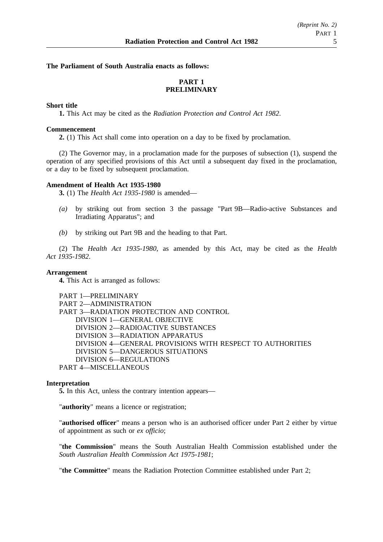#### **The Parliament of South Australia enacts as follows:**

# **PART 1 PRELIMINARY**

# **Short title**

**1.** This Act may be cited as the *Radiation Protection and Control Act 1982*.

#### **Commencement**

**2.** (1) This Act shall come into operation on a day to be fixed by proclamation.

(2) The Governor may, in a proclamation made for the purposes of subsection (1), suspend the operation of any specified provisions of this Act until a subsequent day fixed in the proclamation, or a day to be fixed by subsequent proclamation.

#### **Amendment of Health Act 1935-1980**

**3.** (1) The *Health Act 1935-1980* is amended—

- *(a)* by striking out from section 3 the passage "Part 9B—Radio-active Substances and Irradiating Apparatus"; and
- *(b)* by striking out Part 9B and the heading to that Part.

(2) The *Health Act 1935-1980*, as amended by this Act, may be cited as the *Health Act 1935-1982*.

## **Arrangement**

**4.** This Act is arranged as follows:

PART 1—PRELIMINARY PART 2—ADMINISTRATION PART 3—RADIATION PROTECTION AND CONTROL DIVISION 1—GENERAL OBJECTIVE DIVISION 2—RADIOACTIVE SUBSTANCES DIVISION 3—RADIATION APPARATUS DIVISION 4—GENERAL PROVISIONS WITH RESPECT TO AUTHORITIES DIVISION 5—DANGEROUS SITUATIONS DIVISION 6—REGULATIONS PART 4—MISCELLANEOUS

## **Interpretation**

**5.** In this Act, unless the contrary intention appears—

"**authority**" means a licence or registration;

"**authorised officer**" means a person who is an authorised officer under Part 2 either by virtue of appointment as such or *ex officio*;

"**the Commission**" means the South Australian Health Commission established under the *South Australian Health Commission Act 1975-1981*;

"**the Committee**" means the Radiation Protection Committee established under Part 2;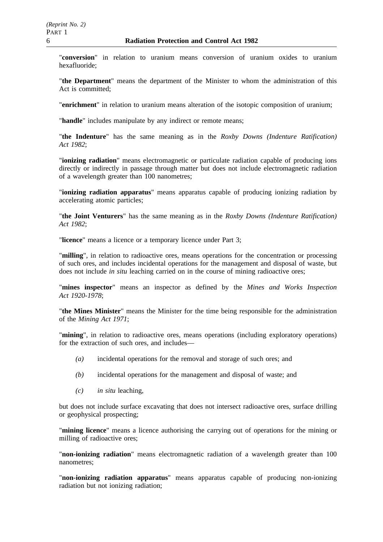"**conversion**" in relation to uranium means conversion of uranium oxides to uranium hexafluoride;

"**the Department**" means the department of the Minister to whom the administration of this Act is committed:

"**enrichment**" in relation to uranium means alteration of the isotopic composition of uranium;

"**handle**" includes manipulate by any indirect or remote means;

"**the Indenture**" has the same meaning as in the *Roxby Downs (Indenture Ratification) Act 1982*;

"**ionizing radiation**" means electromagnetic or particulate radiation capable of producing ions directly or indirectly in passage through matter but does not include electromagnetic radiation of a wavelength greater than 100 nanometres;

"**ionizing radiation apparatus**" means apparatus capable of producing ionizing radiation by accelerating atomic particles;

"**the Joint Venturers**" has the same meaning as in the *Roxby Downs (Indenture Ratification) Act 1982*;

"**licence**" means a licence or a temporary licence under Part 3;

"**milling**", in relation to radioactive ores, means operations for the concentration or processing of such ores, and includes incidental operations for the management and disposal of waste, but does not include *in situ* leaching carried on in the course of mining radioactive ores;

"**mines inspector**" means an inspector as defined by the *Mines and Works Inspection Act 1920-1978*;

"**the Mines Minister**" means the Minister for the time being responsible for the administration of the *Mining Act 1971*;

"**mining**", in relation to radioactive ores, means operations (including exploratory operations) for the extraction of such ores, and includes—

- *(a)* incidental operations for the removal and storage of such ores; and
- *(b)* incidental operations for the management and disposal of waste; and
- *(c) in situ* leaching,

but does not include surface excavating that does not intersect radioactive ores, surface drilling or geophysical prospecting;

"**mining licence**" means a licence authorising the carrying out of operations for the mining or milling of radioactive ores;

"**non-ionizing radiation**" means electromagnetic radiation of a wavelength greater than 100 nanometres;

"**non-ionizing radiation apparatus**" means apparatus capable of producing non-ionizing radiation but not ionizing radiation;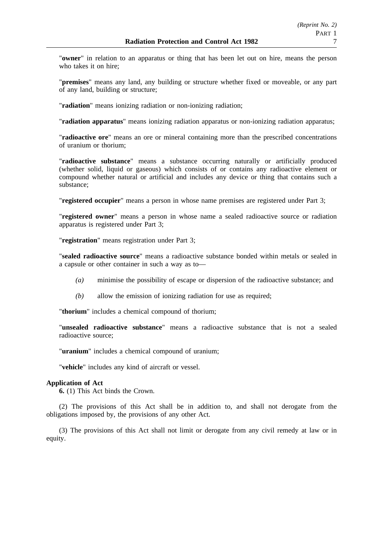"**owner**" in relation to an apparatus or thing that has been let out on hire, means the person who takes it on hire;

"**premises**" means any land, any building or structure whether fixed or moveable, or any part of any land, building or structure;

"**radiation**" means ionizing radiation or non-ionizing radiation;

"**radiation apparatus**" means ionizing radiation apparatus or non-ionizing radiation apparatus;

"**radioactive ore**" means an ore or mineral containing more than the prescribed concentrations of uranium or thorium;

"**radioactive substance**" means a substance occurring naturally or artificially produced (whether solid, liquid or gaseous) which consists of or contains any radioactive element or compound whether natural or artificial and includes any device or thing that contains such a substance;

"**registered occupier**" means a person in whose name premises are registered under Part 3;

"**registered owner**" means a person in whose name a sealed radioactive source or radiation apparatus is registered under Part 3;

"**registration**" means registration under Part 3;

"**sealed radioactive source**" means a radioactive substance bonded within metals or sealed in a capsule or other container in such a way as to—

- *(a)* minimise the possibility of escape or dispersion of the radioactive substance; and
- *(b)* allow the emission of ionizing radiation for use as required;

"**thorium**" includes a chemical compound of thorium;

"**unsealed radioactive substance**" means a radioactive substance that is not a sealed radioactive source;

"**uranium**" includes a chemical compound of uranium;

"**vehicle**" includes any kind of aircraft or vessel.

# **Application of Act**

**6.** (1) This Act binds the Crown.

(2) The provisions of this Act shall be in addition to, and shall not derogate from the obligations imposed by, the provisions of any other Act.

(3) The provisions of this Act shall not limit or derogate from any civil remedy at law or in equity.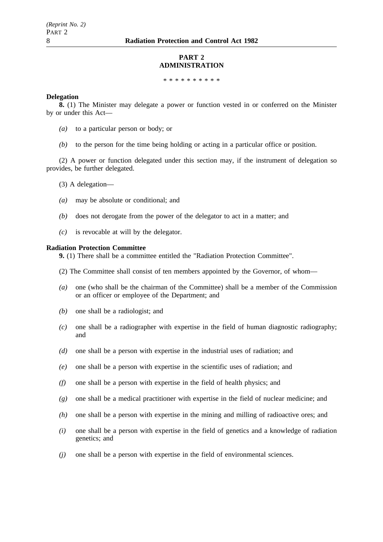## **PART 2 ADMINISTRATION**

\*\*\*\*\*\*\*\*\*\*

#### **Delegation**

**8.** (1) The Minister may delegate a power or function vested in or conferred on the Minister by or under this Act—

- *(a)* to a particular person or body; or
- *(b)* to the person for the time being holding or acting in a particular office or position.

(2) A power or function delegated under this section may, if the instrument of delegation so provides, be further delegated.

- (3) A delegation—
- *(a)* may be absolute or conditional; and
- *(b)* does not derogate from the power of the delegator to act in a matter; and
- *(c)* is revocable at will by the delegator.

#### **Radiation Protection Committee**

**9.** (1) There shall be a committee entitled the "Radiation Protection Committee".

- (2) The Committee shall consist of ten members appointed by the Governor, of whom—
- *(a)* one (who shall be the chairman of the Committee) shall be a member of the Commission or an officer or employee of the Department; and
- *(b)* one shall be a radiologist; and
- *(c)* one shall be a radiographer with expertise in the field of human diagnostic radiography; and
- *(d)* one shall be a person with expertise in the industrial uses of radiation; and
- *(e)* one shall be a person with expertise in the scientific uses of radiation; and
- *(f)* one shall be a person with expertise in the field of health physics; and
- *(g)* one shall be a medical practitioner with expertise in the field of nuclear medicine; and
- *(h)* one shall be a person with expertise in the mining and milling of radioactive ores; and
- *(i)* one shall be a person with expertise in the field of genetics and a knowledge of radiation genetics; and
- *(j)* one shall be a person with expertise in the field of environmental sciences.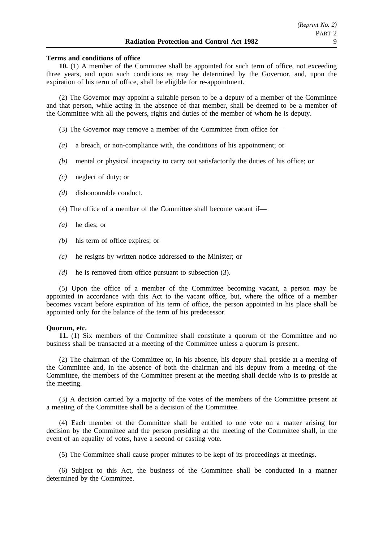#### **Terms and conditions of office**

**10.** (1) A member of the Committee shall be appointed for such term of office, not exceeding three years, and upon such conditions as may be determined by the Governor, and, upon the expiration of his term of office, shall be eligible for re-appointment.

(2) The Governor may appoint a suitable person to be a deputy of a member of the Committee and that person, while acting in the absence of that member, shall be deemed to be a member of the Committee with all the powers, rights and duties of the member of whom he is deputy.

(3) The Governor may remove a member of the Committee from office for—

- *(a)* a breach, or non-compliance with, the conditions of his appointment; or
- *(b)* mental or physical incapacity to carry out satisfactorily the duties of his office; or
- *(c)* neglect of duty; or
- *(d)* dishonourable conduct.
- (4) The office of a member of the Committee shall become vacant if—
- *(a)* he dies; or
- *(b)* his term of office expires; or
- *(c)* he resigns by written notice addressed to the Minister; or
- *(d)* he is removed from office pursuant to subsection (3).

(5) Upon the office of a member of the Committee becoming vacant, a person may be appointed in accordance with this Act to the vacant office, but, where the office of a member becomes vacant before expiration of his term of office, the person appointed in his place shall be appointed only for the balance of the term of his predecessor.

## **Quorum, etc.**

**11.** (1) Six members of the Committee shall constitute a quorum of the Committee and no business shall be transacted at a meeting of the Committee unless a quorum is present.

(2) The chairman of the Committee or, in his absence, his deputy shall preside at a meeting of the Committee and, in the absence of both the chairman and his deputy from a meeting of the Committee, the members of the Committee present at the meeting shall decide who is to preside at the meeting.

(3) A decision carried by a majority of the votes of the members of the Committee present at a meeting of the Committee shall be a decision of the Committee.

(4) Each member of the Committee shall be entitled to one vote on a matter arising for decision by the Committee and the person presiding at the meeting of the Committee shall, in the event of an equality of votes, have a second or casting vote.

(5) The Committee shall cause proper minutes to be kept of its proceedings at meetings.

(6) Subject to this Act, the business of the Committee shall be conducted in a manner determined by the Committee.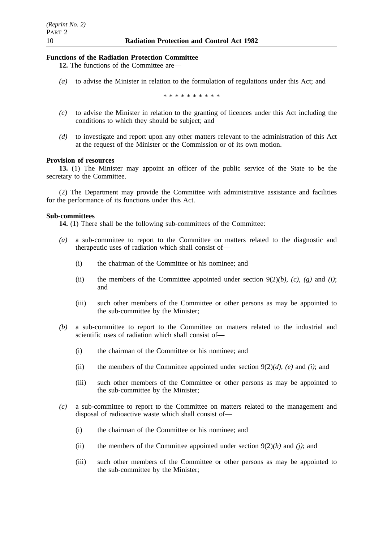## **Functions of the Radiation Protection Committee**

- **12.** The functions of the Committee are—
- *(a)* to advise the Minister in relation to the formulation of regulations under this Act; and

\*\*\*\*\*\*\*\*\*\*

- *(c)* to advise the Minister in relation to the granting of licences under this Act including the conditions to which they should be subject; and
- *(d)* to investigate and report upon any other matters relevant to the administration of this Act at the request of the Minister or the Commission or of its own motion.

#### **Provision of resources**

**13.** (1) The Minister may appoint an officer of the public service of the State to be the secretary to the Committee.

(2) The Department may provide the Committee with administrative assistance and facilities for the performance of its functions under this Act.

#### **Sub-committees**

**14.** (1) There shall be the following sub-committees of the Committee:

- *(a)* a sub-committee to report to the Committee on matters related to the diagnostic and therapeutic uses of radiation which shall consist of—
	- (i) the chairman of the Committee or his nominee; and
	- (ii) the members of the Committee appointed under section  $9(2)(b)$ , *(c)*, *(g)* and *(i)*; and
	- (iii) such other members of the Committee or other persons as may be appointed to the sub-committee by the Minister;
- *(b)* a sub-committee to report to the Committee on matters related to the industrial and scientific uses of radiation which shall consist of—
	- (i) the chairman of the Committee or his nominee; and
	- (ii) the members of the Committee appointed under section 9(2)*(d)*, *(e)* and *(i)*; and
	- (iii) such other members of the Committee or other persons as may be appointed to the sub-committee by the Minister;
- *(c)* a sub-committee to report to the Committee on matters related to the management and disposal of radioactive waste which shall consist of—
	- (i) the chairman of the Committee or his nominee; and
	- (ii) the members of the Committee appointed under section  $9(2)/h$ ) and *(j)*; and
	- (iii) such other members of the Committee or other persons as may be appointed to the sub-committee by the Minister;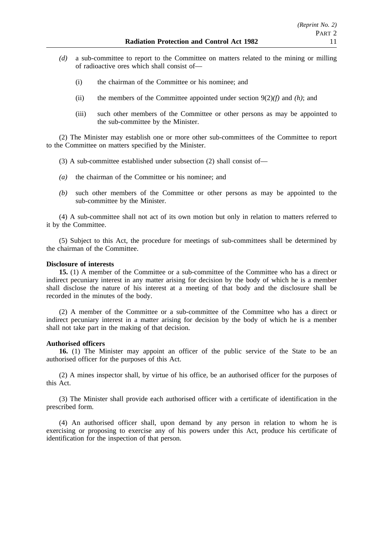- *(d)* a sub-committee to report to the Committee on matters related to the mining or milling of radioactive ores which shall consist of—
	- (i) the chairman of the Committee or his nominee; and
	- (ii) the members of the Committee appointed under section  $9(2)(f)$  and *(h)*; and
	- (iii) such other members of the Committee or other persons as may be appointed to the sub-committee by the Minister.

(2) The Minister may establish one or more other sub-committees of the Committee to report to the Committee on matters specified by the Minister.

- (3) A sub-committee established under subsection (2) shall consist of—
- *(a)* the chairman of the Committee or his nominee; and
- *(b)* such other members of the Committee or other persons as may be appointed to the sub-committee by the Minister.

(4) A sub-committee shall not act of its own motion but only in relation to matters referred to it by the Committee.

(5) Subject to this Act, the procedure for meetings of sub-committees shall be determined by the chairman of the Committee.

## **Disclosure of interests**

**15.** (1) A member of the Committee or a sub-committee of the Committee who has a direct or indirect pecuniary interest in any matter arising for decision by the body of which he is a member shall disclose the nature of his interest at a meeting of that body and the disclosure shall be recorded in the minutes of the body.

(2) A member of the Committee or a sub-committee of the Committee who has a direct or indirect pecuniary interest in a matter arising for decision by the body of which he is a member shall not take part in the making of that decision.

## **Authorised officers**

**16.** (1) The Minister may appoint an officer of the public service of the State to be an authorised officer for the purposes of this Act.

(2) A mines inspector shall, by virtue of his office, be an authorised officer for the purposes of this Act.

(3) The Minister shall provide each authorised officer with a certificate of identification in the prescribed form.

(4) An authorised officer shall, upon demand by any person in relation to whom he is exercising or proposing to exercise any of his powers under this Act, produce his certificate of identification for the inspection of that person.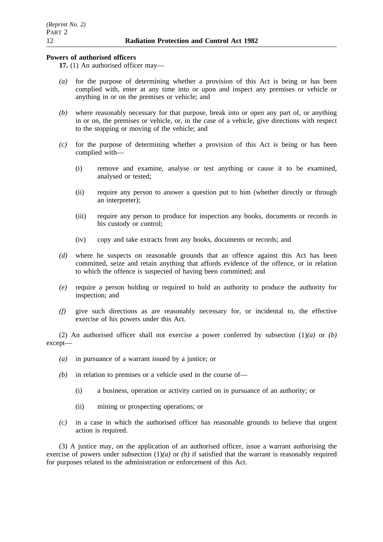## **Powers of authorised officers**

- **17.** (1) An authorised officer may—
- *(a)* for the purpose of determining whether a provision of this Act is being or has been complied with, enter at any time into or upon and inspect any premises or vehicle or anything in or on the premises or vehicle; and
- *(b)* where reasonably necessary for that purpose, break into or open any part of, or anything in or on, the premises or vehicle, or, in the case of a vehicle, give directions with respect to the stopping or moving of the vehicle; and
- *(c)* for the purpose of determining whether a provision of this Act is being or has been complied with—
	- (i) remove and examine, analyse or test anything or cause it to be examined, analysed or tested;
	- (ii) require any person to answer a question put to him (whether directly or through an interpreter);
	- (iii) require any person to produce for inspection any books, documents or records in his custody or control;
	- (iv) copy and take extracts from any books, documents or records; and
- *(d)* where he suspects on reasonable grounds that an offence against this Act has been committed, seize and retain anything that affords evidence of the offence, or in relation to which the offence is suspected of having been committed; and
- *(e)* require a person holding or required to hold an authority to produce the authority for inspection; and
- *(f)* give such directions as are reasonably necessary for, or incidental to, the effective exercise of his powers under this Act.

(2) An authorised officer shall not exercise a power conferred by subsection (1)*(a)* or *(b)* except—

- *(a)* in pursuance of a warrant issued by a justice; or
- *(b)* in relation to premises or a vehicle used in the course of—
	- (i) a business, operation or activity carried on in pursuance of an authority; or
	- (ii) mining or prospecting operations; or
- *(c)* in a case in which the authorised officer has reasonable grounds to believe that urgent action is required.

(3) A justice may, on the application of an authorised officer, issue a warrant authorising the exercise of powers under subsection (1)*(a)* or *(b)* if satisfied that the warrant is reasonably required for purposes related to the administration or enforcement of this Act.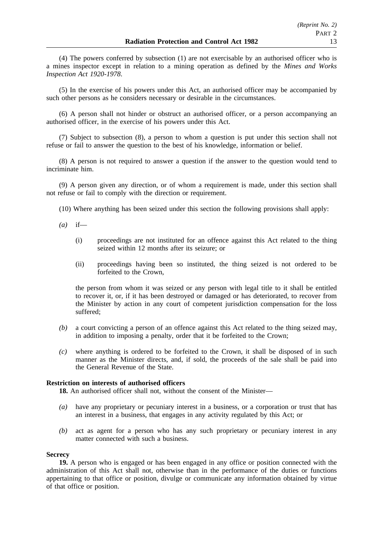(4) The powers conferred by subsection (1) are not exercisable by an authorised officer who is a mines inspector except in relation to a mining operation as defined by the *Mines and Works Inspection Act 1920-1978*.

(5) In the exercise of his powers under this Act, an authorised officer may be accompanied by such other persons as he considers necessary or desirable in the circumstances.

(6) A person shall not hinder or obstruct an authorised officer, or a person accompanying an authorised officer, in the exercise of his powers under this Act.

(7) Subject to subsection (8), a person to whom a question is put under this section shall not refuse or fail to answer the question to the best of his knowledge, information or belief.

(8) A person is not required to answer a question if the answer to the question would tend to incriminate him.

(9) A person given any direction, or of whom a requirement is made, under this section shall not refuse or fail to comply with the direction or requirement.

(10) Where anything has been seized under this section the following provisions shall apply:

- *(a)* if—
	- (i) proceedings are not instituted for an offence against this Act related to the thing seized within 12 months after its seizure; or
	- (ii) proceedings having been so instituted, the thing seized is not ordered to be forfeited to the Crown,

the person from whom it was seized or any person with legal title to it shall be entitled to recover it, or, if it has been destroyed or damaged or has deteriorated, to recover from the Minister by action in any court of competent jurisdiction compensation for the loss suffered;

- *(b)* a court convicting a person of an offence against this Act related to the thing seized may, in addition to imposing a penalty, order that it be forfeited to the Crown;
- *(c)* where anything is ordered to be forfeited to the Crown, it shall be disposed of in such manner as the Minister directs, and, if sold, the proceeds of the sale shall be paid into the General Revenue of the State.

## **Restriction on interests of authorised officers**

**18.** An authorised officer shall not, without the consent of the Minister—

- *(a)* have any proprietary or pecuniary interest in a business, or a corporation or trust that has an interest in a business, that engages in any activity regulated by this Act; or
- *(b)* act as agent for a person who has any such proprietary or pecuniary interest in any matter connected with such a business.

## **Secrecy**

**19.** A person who is engaged or has been engaged in any office or position connected with the administration of this Act shall not, otherwise than in the performance of the duties or functions appertaining to that office or position, divulge or communicate any information obtained by virtue of that office or position.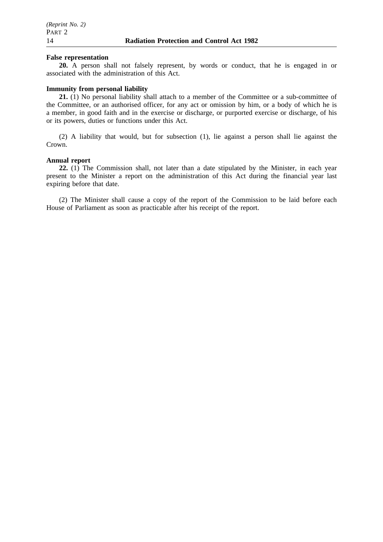#### **False representation**

**20.** A person shall not falsely represent, by words or conduct, that he is engaged in or associated with the administration of this Act.

## **Immunity from personal liability**

**21.** (1) No personal liability shall attach to a member of the Committee or a sub-committee of the Committee, or an authorised officer, for any act or omission by him, or a body of which he is a member, in good faith and in the exercise or discharge, or purported exercise or discharge, of his or its powers, duties or functions under this Act.

(2) A liability that would, but for subsection (1), lie against a person shall lie against the Crown.

#### **Annual report**

**22.** (1) The Commission shall, not later than a date stipulated by the Minister, in each year present to the Minister a report on the administration of this Act during the financial year last expiring before that date.

(2) The Minister shall cause a copy of the report of the Commission to be laid before each House of Parliament as soon as practicable after his receipt of the report.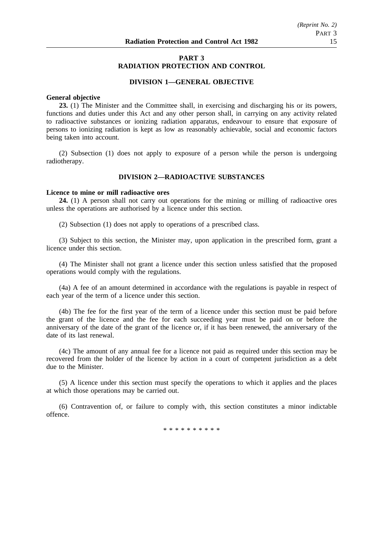## **PART 3 RADIATION PROTECTION AND CONTROL**

## **DIVISION 1—GENERAL OBJECTIVE**

#### **General objective**

**23.** (1) The Minister and the Committee shall, in exercising and discharging his or its powers, functions and duties under this Act and any other person shall, in carrying on any activity related to radioactive substances or ionizing radiation apparatus, endeavour to ensure that exposure of persons to ionizing radiation is kept as low as reasonably achievable, social and economic factors being taken into account.

(2) Subsection (1) does not apply to exposure of a person while the person is undergoing radiotherapy.

## **DIVISION 2—RADIOACTIVE SUBSTANCES**

## **Licence to mine or mill radioactive ores**

**24.** (1) A person shall not carry out operations for the mining or milling of radioactive ores unless the operations are authorised by a licence under this section.

(2) Subsection (1) does not apply to operations of a prescribed class.

(3) Subject to this section, the Minister may, upon application in the prescribed form, grant a licence under this section.

(4) The Minister shall not grant a licence under this section unless satisfied that the proposed operations would comply with the regulations.

(4a) A fee of an amount determined in accordance with the regulations is payable in respect of each year of the term of a licence under this section.

(4b) The fee for the first year of the term of a licence under this section must be paid before the grant of the licence and the fee for each succeeding year must be paid on or before the anniversary of the date of the grant of the licence or, if it has been renewed, the anniversary of the date of its last renewal.

(4c) The amount of any annual fee for a licence not paid as required under this section may be recovered from the holder of the licence by action in a court of competent jurisdiction as a debt due to the Minister.

(5) A licence under this section must specify the operations to which it applies and the places at which those operations may be carried out.

(6) Contravention of, or failure to comply with, this section constitutes a minor indictable offence.

\*\*\*\*\*\*\*\*\*\*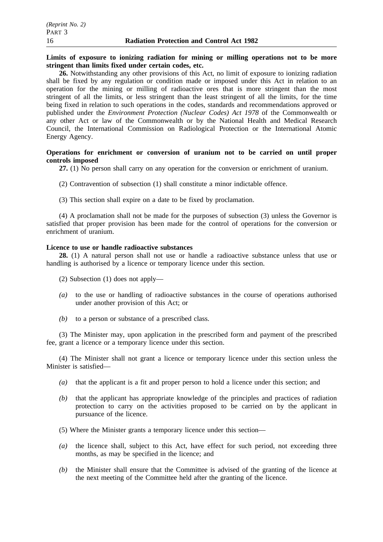## **Limits of exposure to ionizing radiation for mining or milling operations not to be more stringent than limits fixed under certain codes, etc.**

**26.** Notwithstanding any other provisions of this Act, no limit of exposure to ionizing radiation shall be fixed by any regulation or condition made or imposed under this Act in relation to an operation for the mining or milling of radioactive ores that is more stringent than the most stringent of all the limits, or less stringent than the least stringent of all the limits, for the time being fixed in relation to such operations in the codes, standards and recommendations approved or published under the *Environment Protection (Nuclear Codes) Act 1978* of the Commonwealth or any other Act or law of the Commonwealth or by the National Health and Medical Research Council, the International Commission on Radiological Protection or the International Atomic Energy Agency.

## **Operations for enrichment or conversion of uranium not to be carried on until proper controls imposed**

**27.** (1) No person shall carry on any operation for the conversion or enrichment of uranium.

- (2) Contravention of subsection (1) shall constitute a minor indictable offence.
- (3) This section shall expire on a date to be fixed by proclamation.

(4) A proclamation shall not be made for the purposes of subsection (3) unless the Governor is satisfied that proper provision has been made for the control of operations for the conversion or enrichment of uranium.

## **Licence to use or handle radioactive substances**

**28.** (1) A natural person shall not use or handle a radioactive substance unless that use or handling is authorised by a licence or temporary licence under this section.

- (2) Subsection (1) does not apply—
- *(a)* to the use or handling of radioactive substances in the course of operations authorised under another provision of this Act; or
- *(b)* to a person or substance of a prescribed class.

(3) The Minister may, upon application in the prescribed form and payment of the prescribed fee, grant a licence or a temporary licence under this section.

(4) The Minister shall not grant a licence or temporary licence under this section unless the Minister is satisfied—

- *(a)* that the applicant is a fit and proper person to hold a licence under this section; and
- *(b)* that the applicant has appropriate knowledge of the principles and practices of radiation protection to carry on the activities proposed to be carried on by the applicant in pursuance of the licence.
- (5) Where the Minister grants a temporary licence under this section—
- *(a)* the licence shall, subject to this Act, have effect for such period, not exceeding three months, as may be specified in the licence; and
- *(b)* the Minister shall ensure that the Committee is advised of the granting of the licence at the next meeting of the Committee held after the granting of the licence.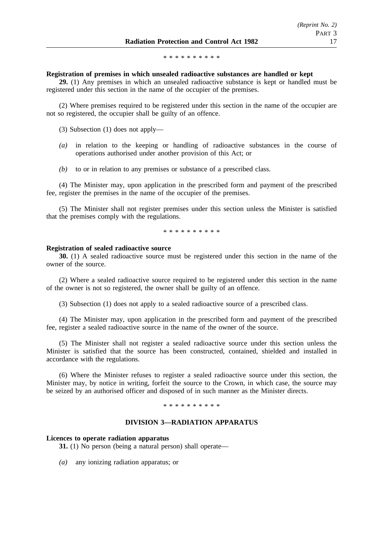\*\*\*\*\*\*\*\*\*\*

#### **Registration of premises in which unsealed radioactive substances are handled or kept**

**29.** (1) Any premises in which an unsealed radioactive substance is kept or handled must be registered under this section in the name of the occupier of the premises.

(2) Where premises required to be registered under this section in the name of the occupier are not so registered, the occupier shall be guilty of an offence.

(3) Subsection (1) does not apply—

- *(a)* in relation to the keeping or handling of radioactive substances in the course of operations authorised under another provision of this Act; or
- *(b)* to or in relation to any premises or substance of a prescribed class.

(4) The Minister may, upon application in the prescribed form and payment of the prescribed fee, register the premises in the name of the occupier of the premises.

(5) The Minister shall not register premises under this section unless the Minister is satisfied that the premises comply with the regulations.

\*\*\*\*\*\*\*\*\*\*

#### **Registration of sealed radioactive source**

**30.** (1) A sealed radioactive source must be registered under this section in the name of the owner of the source.

(2) Where a sealed radioactive source required to be registered under this section in the name of the owner is not so registered, the owner shall be guilty of an offence.

(3) Subsection (1) does not apply to a sealed radioactive source of a prescribed class.

(4) The Minister may, upon application in the prescribed form and payment of the prescribed fee, register a sealed radioactive source in the name of the owner of the source.

(5) The Minister shall not register a sealed radioactive source under this section unless the Minister is satisfied that the source has been constructed, contained, shielded and installed in accordance with the regulations.

(6) Where the Minister refuses to register a sealed radioactive source under this section, the Minister may, by notice in writing, forfeit the source to the Crown, in which case, the source may be seized by an authorised officer and disposed of in such manner as the Minister directs.

\*\*\*\*\*\*\*\*\*\*

#### **DIVISION 3—RADIATION APPARATUS**

#### **Licences to operate radiation apparatus**

**31.** (1) No person (being a natural person) shall operate—

*(a)* any ionizing radiation apparatus; or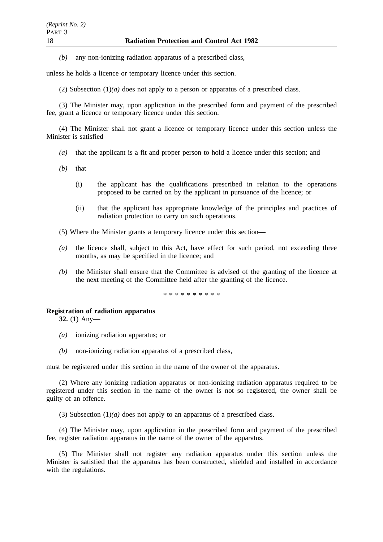*(b)* any non-ionizing radiation apparatus of a prescribed class,

unless he holds a licence or temporary licence under this section.

(2) Subsection  $(1)(a)$  does not apply to a person or apparatus of a prescribed class.

(3) The Minister may, upon application in the prescribed form and payment of the prescribed fee, grant a licence or temporary licence under this section.

(4) The Minister shall not grant a licence or temporary licence under this section unless the Minister is satisfied—

- *(a)* that the applicant is a fit and proper person to hold a licence under this section; and
- *(b)* that—
	- (i) the applicant has the qualifications prescribed in relation to the operations proposed to be carried on by the applicant in pursuance of the licence; or
	- (ii) that the applicant has appropriate knowledge of the principles and practices of radiation protection to carry on such operations.
- (5) Where the Minister grants a temporary licence under this section—
- *(a)* the licence shall, subject to this Act, have effect for such period, not exceeding three months, as may be specified in the licence; and
- *(b)* the Minister shall ensure that the Committee is advised of the granting of the licence at the next meeting of the Committee held after the granting of the licence.

\*\*\*\*\*\*\*\*\*\*

#### **Registration of radiation apparatus**

**32.** (1) Any—

- *(a)* ionizing radiation apparatus; or
- *(b)* non-ionizing radiation apparatus of a prescribed class,

must be registered under this section in the name of the owner of the apparatus.

(2) Where any ionizing radiation apparatus or non-ionizing radiation apparatus required to be registered under this section in the name of the owner is not so registered, the owner shall be guilty of an offence.

(3) Subsection  $(1)(a)$  does not apply to an apparatus of a prescribed class.

(4) The Minister may, upon application in the prescribed form and payment of the prescribed fee, register radiation apparatus in the name of the owner of the apparatus.

(5) The Minister shall not register any radiation apparatus under this section unless the Minister is satisfied that the apparatus has been constructed, shielded and installed in accordance with the regulations.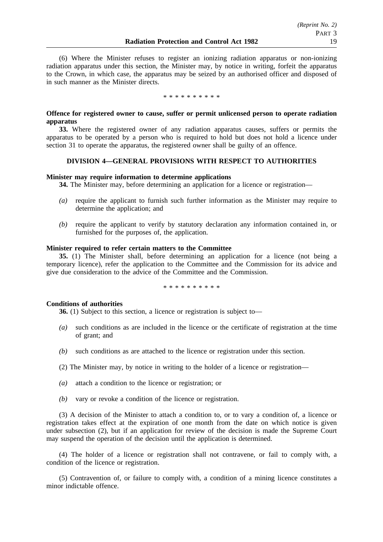(6) Where the Minister refuses to register an ionizing radiation apparatus or non-ionizing radiation apparatus under this section, the Minister may, by notice in writing, forfeit the apparatus to the Crown, in which case, the apparatus may be seized by an authorised officer and disposed of in such manner as the Minister directs.

\*\*\*\*\*\*\*\*\*\*

## **Offence for registered owner to cause, suffer or permit unlicensed person to operate radiation apparatus**

**33.** Where the registered owner of any radiation apparatus causes, suffers or permits the apparatus to be operated by a person who is required to hold but does not hold a licence under section 31 to operate the apparatus, the registered owner shall be guilty of an offence.

## **DIVISION 4—GENERAL PROVISIONS WITH RESPECT TO AUTHORITIES**

## **Minister may require information to determine applications**

**34.** The Minister may, before determining an application for a licence or registration—

- *(a)* require the applicant to furnish such further information as the Minister may require to determine the application; and
- *(b)* require the applicant to verify by statutory declaration any information contained in, or furnished for the purposes of, the application.

## **Minister required to refer certain matters to the Committee**

**35.** (1) The Minister shall, before determining an application for a licence (not being a temporary licence), refer the application to the Committee and the Commission for its advice and give due consideration to the advice of the Committee and the Commission.

\*\*\*\*\*\*\*\*\*\*

## **Conditions of authorities**

**36.** (1) Subject to this section, a licence or registration is subject to—

- *(a)* such conditions as are included in the licence or the certificate of registration at the time of grant; and
- *(b)* such conditions as are attached to the licence or registration under this section.
- (2) The Minister may, by notice in writing to the holder of a licence or registration—
- *(a)* attach a condition to the licence or registration; or
- *(b)* vary or revoke a condition of the licence or registration.

(3) A decision of the Minister to attach a condition to, or to vary a condition of, a licence or registration takes effect at the expiration of one month from the date on which notice is given under subsection (2), but if an application for review of the decision is made the Supreme Court may suspend the operation of the decision until the application is determined.

(4) The holder of a licence or registration shall not contravene, or fail to comply with, a condition of the licence or registration.

(5) Contravention of, or failure to comply with, a condition of a mining licence constitutes a minor indictable offence.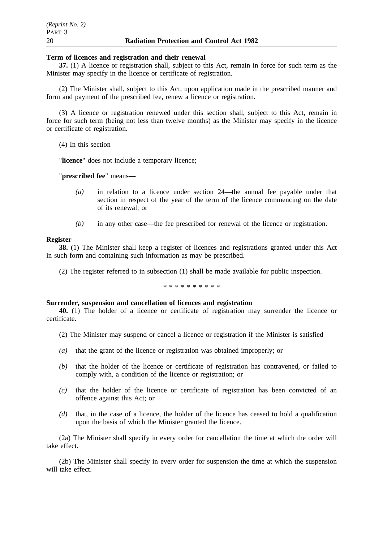#### **Term of licences and registration and their renewal**

**37.** (1) A licence or registration shall, subject to this Act, remain in force for such term as the Minister may specify in the licence or certificate of registration.

(2) The Minister shall, subject to this Act, upon application made in the prescribed manner and form and payment of the prescribed fee, renew a licence or registration.

(3) A licence or registration renewed under this section shall, subject to this Act, remain in force for such term (being not less than twelve months) as the Minister may specify in the licence or certificate of registration.

(4) In this section—

"**licence**" does not include a temporary licence;

"**prescribed fee**" means—

- *(a)* in relation to a licence under section 24—the annual fee payable under that section in respect of the year of the term of the licence commencing on the date of its renewal; or
- *(b)* in any other case—the fee prescribed for renewal of the licence or registration.

#### **Register**

**38.** (1) The Minister shall keep a register of licences and registrations granted under this Act in such form and containing such information as may be prescribed.

(2) The register referred to in subsection (1) shall be made available for public inspection.

\*\*\*\*\*\*\*\*\*\*

#### **Surrender, suspension and cancellation of licences and registration**

**40.** (1) The holder of a licence or certificate of registration may surrender the licence or certificate.

- (2) The Minister may suspend or cancel a licence or registration if the Minister is satisfied—
- *(a)* that the grant of the licence or registration was obtained improperly; or
- *(b)* that the holder of the licence or certificate of registration has contravened, or failed to comply with, a condition of the licence or registration; or
- *(c)* that the holder of the licence or certificate of registration has been convicted of an offence against this Act; or
- *(d)* that, in the case of a licence, the holder of the licence has ceased to hold a qualification upon the basis of which the Minister granted the licence.

(2a) The Minister shall specify in every order for cancellation the time at which the order will take effect.

(2b) The Minister shall specify in every order for suspension the time at which the suspension will take effect.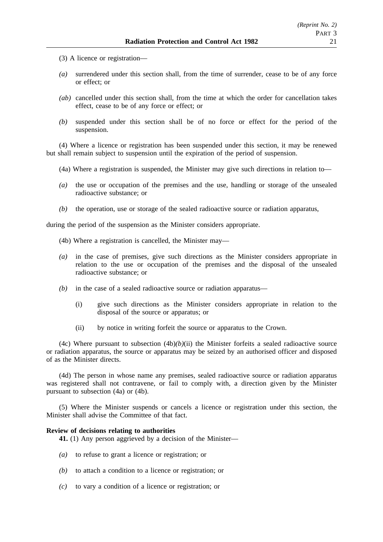- (3) A licence or registration—
- *(a)* surrendered under this section shall, from the time of surrender, cease to be of any force or effect; or
- *(ab)* cancelled under this section shall, from the time at which the order for cancellation takes effect, cease to be of any force or effect; or
- *(b)* suspended under this section shall be of no force or effect for the period of the suspension.

(4) Where a licence or registration has been suspended under this section, it may be renewed but shall remain subject to suspension until the expiration of the period of suspension.

- (4a) Where a registration is suspended, the Minister may give such directions in relation to—
- *(a)* the use or occupation of the premises and the use, handling or storage of the unsealed radioactive substance; or
- *(b)* the operation, use or storage of the sealed radioactive source or radiation apparatus,

during the period of the suspension as the Minister considers appropriate.

- (4b) Where a registration is cancelled, the Minister may—
- *(a)* in the case of premises, give such directions as the Minister considers appropriate in relation to the use or occupation of the premises and the disposal of the unsealed radioactive substance; or
- *(b)* in the case of a sealed radioactive source or radiation apparatus—
	- (i) give such directions as the Minister considers appropriate in relation to the disposal of the source or apparatus; or
	- (ii) by notice in writing forfeit the source or apparatus to the Crown.

(4c) Where pursuant to subsection  $(4b)(b)(ii)$  the Minister forfeits a sealed radioactive source or radiation apparatus, the source or apparatus may be seized by an authorised officer and disposed of as the Minister directs.

(4d) The person in whose name any premises, sealed radioactive source or radiation apparatus was registered shall not contravene, or fail to comply with, a direction given by the Minister pursuant to subsection (4a) or (4b).

(5) Where the Minister suspends or cancels a licence or registration under this section, the Minister shall advise the Committee of that fact.

#### **Review of decisions relating to authorities**

**41.** (1) Any person aggrieved by a decision of the Minister—

- *(a)* to refuse to grant a licence or registration; or
- *(b)* to attach a condition to a licence or registration; or
- *(c)* to vary a condition of a licence or registration; or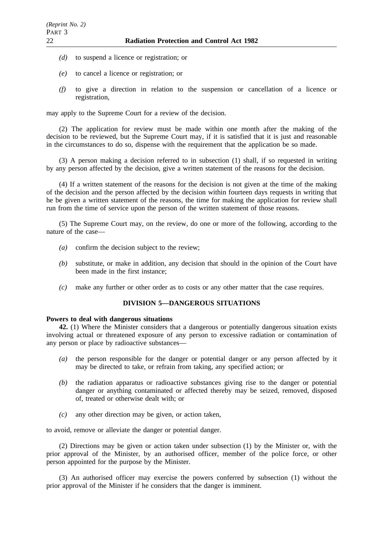- *(d)* to suspend a licence or registration; or
- *(e)* to cancel a licence or registration; or
- *(f)* to give a direction in relation to the suspension or cancellation of a licence or registration,

may apply to the Supreme Court for a review of the decision.

(2) The application for review must be made within one month after the making of the decision to be reviewed, but the Supreme Court may, if it is satisfied that it is just and reasonable in the circumstances to do so, dispense with the requirement that the application be so made.

(3) A person making a decision referred to in subsection (1) shall, if so requested in writing by any person affected by the decision, give a written statement of the reasons for the decision.

(4) If a written statement of the reasons for the decision is not given at the time of the making of the decision and the person affected by the decision within fourteen days requests in writing that he be given a written statement of the reasons, the time for making the application for review shall run from the time of service upon the person of the written statement of those reasons.

(5) The Supreme Court may, on the review, do one or more of the following, according to the nature of the case—

- *(a)* confirm the decision subject to the review;
- *(b)* substitute, or make in addition, any decision that should in the opinion of the Court have been made in the first instance;
- *(c)* make any further or other order as to costs or any other matter that the case requires.

# **DIVISION 5—DANGEROUS SITUATIONS**

## **Powers to deal with dangerous situations**

**42.** (1) Where the Minister considers that a dangerous or potentially dangerous situation exists involving actual or threatened exposure of any person to excessive radiation or contamination of any person or place by radioactive substances—

- *(a)* the person responsible for the danger or potential danger or any person affected by it may be directed to take, or refrain from taking, any specified action; or
- *(b)* the radiation apparatus or radioactive substances giving rise to the danger or potential danger or anything contaminated or affected thereby may be seized, removed, disposed of, treated or otherwise dealt with; or
- *(c)* any other direction may be given, or action taken,

to avoid, remove or alleviate the danger or potential danger.

(2) Directions may be given or action taken under subsection (1) by the Minister or, with the prior approval of the Minister, by an authorised officer, member of the police force, or other person appointed for the purpose by the Minister.

(3) An authorised officer may exercise the powers conferred by subsection (1) without the prior approval of the Minister if he considers that the danger is imminent.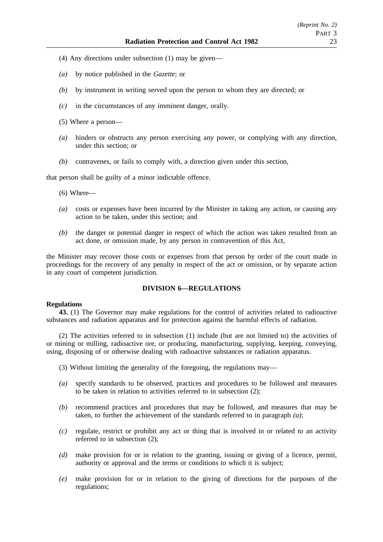- (4) Any directions under subsection (1) may be given—
- *(a)* by notice published in the *Gazette*; or
- *(b)* by instrument in writing served upon the person to whom they are directed; or
- *(c)* in the circumstances of any imminent danger, orally.
- (5) Where a person—
- *(a)* hinders or obstructs any person exercising any power, or complying with any direction, under this section; or
- *(b)* contravenes, or fails to comply with, a direction given under this section,

that person shall be guilty of a minor indictable offence.

- $(6)$  Where—
- *(a)* costs or expenses have been incurred by the Minister in taking any action, or causing any action to be taken, under this section; and
- *(b)* the danger or potential danger in respect of which the action was taken resulted from an act done, or omission made, by any person in contravention of this Act,

the Minister may recover those costs or expenses from that person by order of the court made in proceedings for the recovery of any penalty in respect of the act or omission, or by separate action in any court of competent jurisdiction.

# **DIVISION 6—REGULATIONS**

#### **Regulations**

**43.** (1) The Governor may make regulations for the control of activities related to radioactive substances and radiation apparatus and for protection against the harmful effects of radiation.

(2) The activities referred to in subsection (1) include (but are not limited to) the activities of or mining or milling, radioactive ore, or producing, manufacturing, supplying, keeping, conveying, using, disposing of or otherwise dealing with radioactive substances or radiation apparatus.

- (3) Without limiting the generality of the foregoing, the regulations may—
- *(a)* specify standards to be observed, practices and procedures to be followed and measures to be taken in relation to activities referred to in subsection (2);
- *(b)* recommend practices and procedures that may be followed, and measures that may be taken, to further the achievement of the standards referred to in paragraph *(a)*;
- *(c)* regulate, restrict or prohibit any act or thing that is involved in or related to an activity referred to in subsection (2);
- *(d)* make provision for or in relation to the granting, issuing or giving of a licence, permit, authority or approval and the terms or conditions to which it is subject;
- *(e)* make provision for or in relation to the giving of directions for the purposes of the regulations;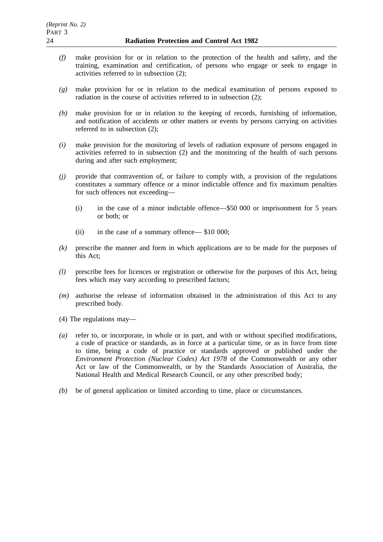- *(f)* make provision for or in relation to the protection of the health and safety, and the training, examination and certification, of persons who engage or seek to engage in activities referred to in subsection (2);
- *(g)* make provision for or in relation to the medical examination of persons exposed to radiation in the course of activities referred to in subsection (2);
- *(h)* make provision for or in relation to the keeping of records, furnishing of information, and notification of accidents or other matters or events by persons carrying on activities referred to in subsection (2);
- *(i)* make provision for the monitoring of levels of radiation exposure of persons engaged in activities referred to in subsection (2) and the monitoring of the health of such persons during and after such employment;
- *(j)* provide that contravention of, or failure to comply with, a provision of the regulations constitutes a summary offence or a minor indictable offence and fix maximum penalties for such offences not exceeding—
	- (i) in the case of a minor indictable offence—\$50 000 or imprisonment for 5 years or both; or
	- (ii) in the case of a summary offence— \$10 000;
- *(k)* prescribe the manner and form in which applications are to be made for the purposes of this Act;
- *(l)* prescribe fees for licences or registration or otherwise for the purposes of this Act, being fees which may vary according to prescribed factors;
- *(m)* authorise the release of information obtained in the administration of this Act to any prescribed body.
- (4) The regulations may—
- *(a)* refer to, or incorporate, in whole or in part, and with or without specified modifications, a code of practice or standards, as in force at a particular time, or as in force from time to time, being a code of practice or standards approved or published under the *Environment Protection (Nuclear Codes) Act 1978* of the Commonwealth or any other Act or law of the Commonwealth, or by the Standards Association of Australia, the National Health and Medical Research Council, or any other prescribed body;
- *(b)* be of general application or limited according to time, place or circumstances.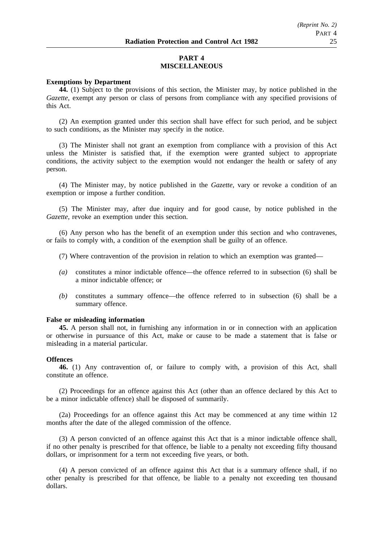# **PART 4 MISCELLANEOUS**

## **Exemptions by Department**

**44.** (1) Subject to the provisions of this section, the Minister may, by notice published in the *Gazette*, exempt any person or class of persons from compliance with any specified provisions of this Act.

(2) An exemption granted under this section shall have effect for such period, and be subject to such conditions, as the Minister may specify in the notice.

(3) The Minister shall not grant an exemption from compliance with a provision of this Act unless the Minister is satisfied that, if the exemption were granted subject to appropriate conditions, the activity subject to the exemption would not endanger the health or safety of any person.

(4) The Minister may, by notice published in the *Gazette*, vary or revoke a condition of an exemption or impose a further condition.

(5) The Minister may, after due inquiry and for good cause, by notice published in the *Gazette*, revoke an exemption under this section.

(6) Any person who has the benefit of an exemption under this section and who contravenes, or fails to comply with, a condition of the exemption shall be guilty of an offence.

- (7) Where contravention of the provision in relation to which an exemption was granted—
- *(a)* constitutes a minor indictable offence—the offence referred to in subsection (6) shall be a minor indictable offence; or
- *(b)* constitutes a summary offence—the offence referred to in subsection (6) shall be a summary offence.

#### **False or misleading information**

**45.** A person shall not, in furnishing any information in or in connection with an application or otherwise in pursuance of this Act, make or cause to be made a statement that is false or misleading in a material particular.

#### **Offences**

**46.** (1) Any contravention of, or failure to comply with, a provision of this Act, shall constitute an offence.

(2) Proceedings for an offence against this Act (other than an offence declared by this Act to be a minor indictable offence) shall be disposed of summarily.

(2a) Proceedings for an offence against this Act may be commenced at any time within 12 months after the date of the alleged commission of the offence.

(3) A person convicted of an offence against this Act that is a minor indictable offence shall, if no other penalty is prescribed for that offence, be liable to a penalty not exceeding fifty thousand dollars, or imprisonment for a term not exceeding five years, or both.

(4) A person convicted of an offence against this Act that is a summary offence shall, if no other penalty is prescribed for that offence, be liable to a penalty not exceeding ten thousand dollars.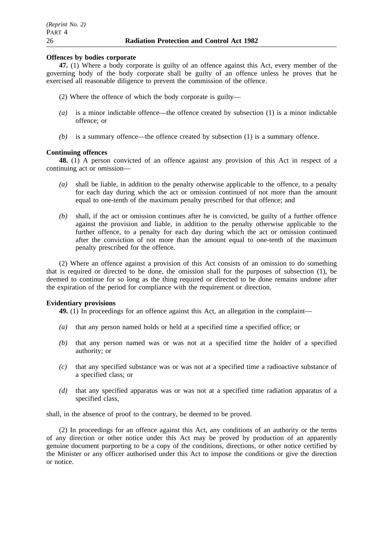#### **Offences by bodies corporate**

**47.** (1) Where a body corporate is guilty of an offence against this Act, every member of the governing body of the body corporate shall be guilty of an offence unless he proves that he exercised all reasonable diligence to prevent the commission of the offence.

- (2) Where the offence of which the body corporate is guilty—
- *(a)* is a minor indictable offence—the offence created by subsection (1) is a minor indictable offence; or
- *(b)* is a summary offence—the offence created by subsection (1) is a summary offence.

## **Continuing offences**

**48.** (1) A person convicted of an offence against any provision of this Act in respect of a continuing act or omission—

- *(a)* shall be liable, in addition to the penalty otherwise applicable to the offence, to a penalty for each day during which the act or omission continued of not more than the amount equal to one-tenth of the maximum penalty prescribed for that offence; and
- *(b)* shall, if the act or omission continues after he is convicted, be guilty of a further offence against the provision and liable, in addition to the penalty otherwise applicable to the further offence, to a penalty for each day during which the act or omission continued after the conviction of not more than the amount equal to one-tenth of the maximum penalty prescribed for the offence.

(2) Where an offence against a provision of this Act consists of an omission to do something that is required or directed to be done, the omission shall for the purposes of subsection (1), be deemed to continue for so long as the thing required or directed to be done remains undone after the expiration of the period for compliance with the requirement or direction.

## **Evidentiary provisions**

**49.** (1) In proceedings for an offence against this Act, an allegation in the complaint—

- *(a)* that any person named holds or held at a specified time a specified office; or
- *(b)* that any person named was or was not at a specified time the holder of a specified authority; or
- *(c)* that any specified substance was or was not at a specified time a radioactive substance of a specified class; or
- *(d)* that any specified apparatus was or was not at a specified time radiation apparatus of a specified class,

shall, in the absence of proof to the contrary, be deemed to be proved.

(2) In proceedings for an offence against this Act, any conditions of an authority or the terms of any direction or other notice under this Act may be proved by production of an apparently genuine document purporting to be a copy of the conditions, directions, or other notice certified by the Minister or any officer authorised under this Act to impose the conditions or give the direction or notice.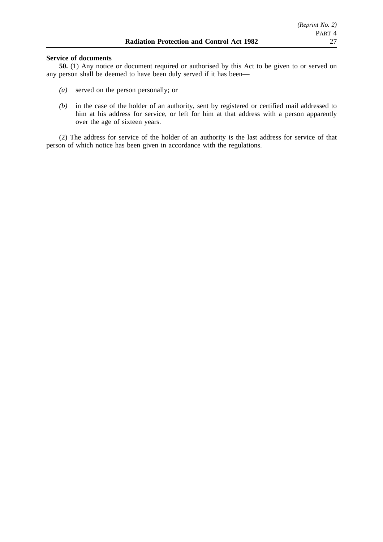## **Service of documents**

**50.** (1) Any notice or document required or authorised by this Act to be given to or served on any person shall be deemed to have been duly served if it has been—

- *(a)* served on the person personally; or
- *(b)* in the case of the holder of an authority, sent by registered or certified mail addressed to him at his address for service, or left for him at that address with a person apparently over the age of sixteen years.

(2) The address for service of the holder of an authority is the last address for service of that person of which notice has been given in accordance with the regulations.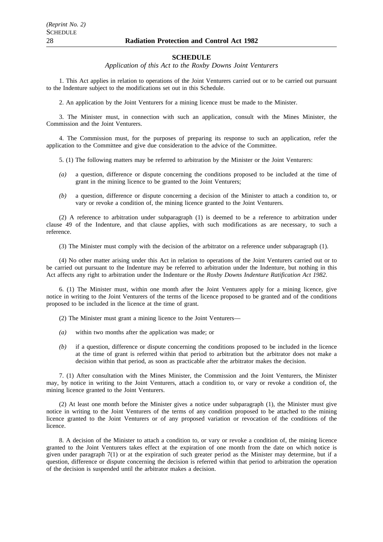#### **SCHEDULE**

*Application of this Act to the Roxby Downs Joint Venturers*

1. This Act applies in relation to operations of the Joint Venturers carried out or to be carried out pursuant to the Indenture subject to the modifications set out in this Schedule.

2. An application by the Joint Venturers for a mining licence must be made to the Minister.

3. The Minister must, in connection with such an application, consult with the Mines Minister, the Commission and the Joint Venturers.

4. The Commission must, for the purposes of preparing its response to such an application, refer the application to the Committee and give due consideration to the advice of the Committee.

5. (1) The following matters may be referred to arbitration by the Minister or the Joint Venturers:

- *(a)* a question, difference or dispute concerning the conditions proposed to be included at the time of grant in the mining licence to be granted to the Joint Venturers;
- *(b)* a question, difference or dispute concerning a decision of the Minister to attach a condition to, or vary or revoke a condition of, the mining licence granted to the Joint Venturers.

(2) A reference to arbitration under subparagraph (1) is deemed to be a reference to arbitration under clause 49 of the Indenture, and that clause applies, with such modifications as are necessary, to such a reference.

(3) The Minister must comply with the decision of the arbitrator on a reference under subparagraph (1).

(4) No other matter arising under this Act in relation to operations of the Joint Venturers carried out or to be carried out pursuant to the Indenture may be referred to arbitration under the Indenture, but nothing in this Act affects any right to arbitration under the Indenture or the *Roxby Downs Indenture Ratification Act 1982*.

6. (1) The Minister must, within one month after the Joint Venturers apply for a mining licence, give notice in writing to the Joint Venturers of the terms of the licence proposed to be granted and of the conditions proposed to be included in the licence at the time of grant.

(2) The Minister must grant a mining licence to the Joint Venturers—

- *(a)* within two months after the application was made; or
- *(b)* if a question, difference or dispute concerning the conditions proposed to be included in the licence at the time of grant is referred within that period to arbitration but the arbitrator does not make a decision within that period, as soon as practicable after the arbitrator makes the decision.

7. (1) After consultation with the Mines Minister, the Commission and the Joint Venturers, the Minister may, by notice in writing to the Joint Venturers, attach a condition to, or vary or revoke a condition of, the mining licence granted to the Joint Venturers.

(2) At least one month before the Minister gives a notice under subparagraph (1), the Minister must give notice in writing to the Joint Venturers of the terms of any condition proposed to be attached to the mining licence granted to the Joint Venturers or of any proposed variation or revocation of the conditions of the licence.

8. A decision of the Minister to attach a condition to, or vary or revoke a condition of, the mining licence granted to the Joint Venturers takes effect at the expiration of one month from the date on which notice is given under paragraph 7(1) or at the expiration of such greater period as the Minister may determine, but if a question, difference or dispute concerning the decision is referred within that period to arbitration the operation of the decision is suspended until the arbitrator makes a decision.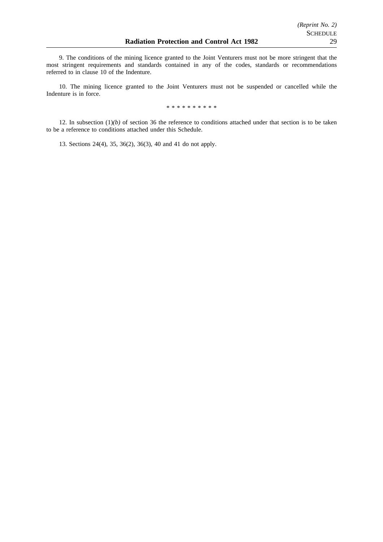9. The conditions of the mining licence granted to the Joint Venturers must not be more stringent that the most stringent requirements and standards contained in any of the codes, standards or recommendations referred to in clause 10 of the Indenture.

10. The mining licence granted to the Joint Venturers must not be suspended or cancelled while the Indenture is in force.

\*\*\*\*\*\*\*\*\*\*

12. In subsection  $(1)(b)$  of section 36 the reference to conditions attached under that section is to be taken to be a reference to conditions attached under this Schedule.

13. Sections 24(4), 35, 36(2), 36(3), 40 and 41 do not apply.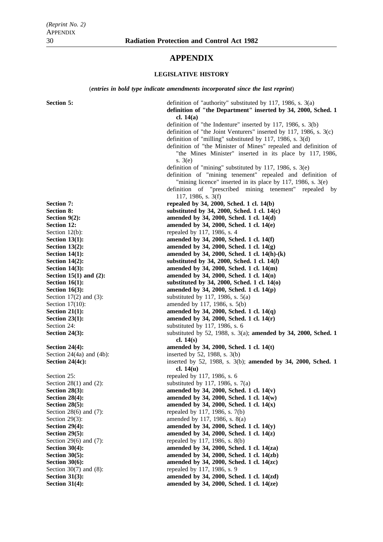# **APPENDIX**

## **LEGISLATIVE HISTORY**

(*entries in bold type indicate amendments incorporated since the last reprint*)

**Section 5:** definition of "authority" substituted by 117, 1986, s. 3(a) **definition of "the Department" inserted by 34, 2000, Sched. 1 cl. 14(a)** definition of "the Indenture" inserted by 117, 1986, s. 3(b) definition of "the Joint Venturers" inserted by 117, 1986, s. 3(c) definition of "milling" substituted by 117, 1986, s. 3(d) definition of "the Minister of Mines" repealed and definition of "the Mines Minister" inserted in its place by 117, 1986, s. 3(e) definition of "mining" substituted by 117, 1986, s. 3(e) definition of "mining tenement" repealed and definition of "mining licence" inserted in its place by 117, 1986, s. 3(e) definition of "prescribed mining tenement" repealed by 117, 1986, s. 3(f) **Section 7:** repealed by 34, 2000, Sched. 1 cl. 14(b)<br>Section 8: **repealed by 34, 2000, Sched. 1 cl. 14 Section 8: substituted by 34, 2000, Sched. 1 cl. 14(c) Section 9(2): amended by 34, 2000, Sched. 1 cl. 14(d) Section 12: amended by 34, 2000, Sched. 1 cl. 14(e)** Section 12(b): repealed by 117, 1986, s. 4 **Section 13(1): amended by 34, 2000, Sched. 1 cl. 14(f) Section 13(2): amended by 34, 2000, Sched. 1 cl. 14(g) Section 14(1): amended by 34, 2000, Sched. 1 cl. 14(h)-(k)** Section 14(2): substituted by 34, 2000, Sched. 1 cl. 14(*l*) **Section 14(3):** amended by 34, 2000, Sched. 1 cl. 14(m) **Section 15(1) and (2): amended by 34, 2000, Sched. 1 cl. 14(n) Section 16(1): Substituted by 34, 2000, Sched. 1 cl. 14(0) Section 16(3): amended by 34, 2000, Sched. 1 cl. 14(p)** Section  $17(2)$  and  $(3)$ : substituted by 117, 1986, s. 5(a) Section 17(10): amended by 117, 1986, s. 5(b) **Section 21(1): amended by 34, 2000, Sched. 1 cl. 14(q) Section 23(1): amended by 34, 2000, Sched. 1 cl. 14(r)** Section 24: substituted by 117, 1986, s. 6 **Section 24(3):** substituted by 52, 1988, s. 3(a); **amended by 34, 2000, Sched. 1 cl. 14(s) Section 24(4): amended by 34, 2000, Sched. 1 cl. 14(t)** Section 24(4a) and (4b): inserted by 52, 1988, s. 3(b) **Section 24(4c):** inserted by 52, 1988, s. 3(b); **amended by 34, 2000, Sched. 1 cl. 14(u)** Section 25: repealed by 117, 1986, s. 6 Section 28(1) and (2): substituted by 117, 1986, s. 7(a)<br>Section 28(3): substituted by 34, 2000, Sched. 1 **Section 28(3):** amended by 34, 2000, Sched. 1 cl. 14(v)<br>Section 28(4): amended by 34, 2000, Sched. 1 cl. 14(w) amended by 34, 2000, Sched. 1 cl. 14(w) **Section 28(5):** amended by 34, 2000, Sched. 1 cl. 14(x) Section 28(6) and (7): repealed by 117, 1986, s. 7(b) Section 29(3): amended by 117, 1986, s. 8(a) **Section 29(4):** amended by 34, 2000, Sched. 1 cl. 14(y) **Section 29(5): amended by 34, 2000, Sched. 1 cl. 14(z)** Section 29(6) and (7): repealed by 117, 1986, s.  $8(b)$ **Section 30(4): amended by 34, 2000, Sched. 1 cl. 14(za) Section 30(5): amended by 34, 2000, Sched. 1 cl. 14(zb) Section 30(6): amended by 34, 2000, Sched. 1 cl. 14(zc)** Section 30(7) and (8): repealed by 117, 1986, s. 9 **Section 31(3): amended by 34, 2000, Sched. 1 cl. 14(zd) Section 31(4): amended by 34, 2000, Sched. 1 cl. 14(ze)**